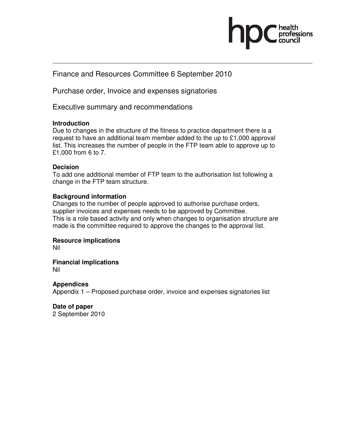

Finance and Resources Committee 6 September 2010

Purchase order, Invoice and expenses signatories

Executive summary and recommendations

### **Introduction**

Due to changes in the structure of the fitness to practice department there is a request to have an additional team member added to the up to  $£1,000$  approval list. This increases the number of people in the FTP team able to approve up to £1,000 from 6 to 7.

## **Decision**

To add one additional member of FTP team to the authorisation list following a change in the FTP team structure.

# **Background information**

Changes to the number of people approved to authorise purchase orders, supplier invoices and expenses needs to be approved by Committee. This is a role based activity and only when changes to organisation structure are made is the committee required to approve the changes to the approval list.

**Resource implications**  Nil

**Financial implications** 

Nil

**Appendices**  Appendix 1 – Proposed purchase order, invoice and expenses signatories list

**Date of paper**  2 September 2010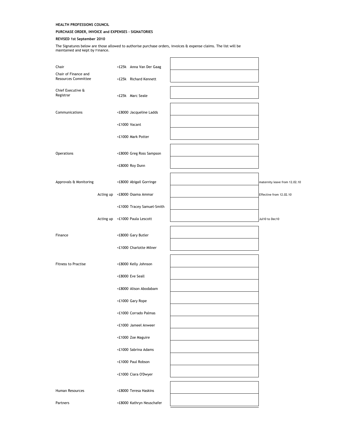### HEALTH PROFESSIONS COUNCIL

#### PURCHASE ORDER, INVOICE and EXPENSES - SIGNATORIES

#### REVISED 1st September 2010

The Signatures below are those allowed to authorise purchase orders, invoices & expense claims. The list will be maintained and kept by Finance.

| Chair                                              | >£25k Anna Van Der Gaag        |                               |
|----------------------------------------------------|--------------------------------|-------------------------------|
| Chair of Finance and<br><b>Resources Committee</b> | >£25k Richard Kennett          |                               |
| Chief Executive &<br>Registrar                     | <£25k Marc Seale               |                               |
| Communications                                     | <£8000 Jacqueline Ladds        |                               |
|                                                    | <£1000 Vacant                  |                               |
|                                                    | <£1000 Mark Potter             |                               |
| Operations                                         | <£8000 Greg Ross Sampson       |                               |
|                                                    | <£8000 Roy Dunn                |                               |
| Approvals & Monitoring                             | <£8000 Abigail Gorringe        | maternity leave from 12.02.10 |
|                                                    | Acting up <£8000 Osama Ammar   | Effective from 12.02.10       |
|                                                    | <£1000 Tracey Samuel-Smith     |                               |
|                                                    | Acting up <£1000 Paula Lescott | Jul10 to Dec10                |
| Finance                                            | <£8000 Gary Butler             |                               |
|                                                    | <£1000 Charlotte Milner        |                               |
| <b>Fitness to Practise</b>                         | <£8000 Kelly Johnson           |                               |
|                                                    | <£8000 Eve Seall               |                               |
|                                                    | <£8000 Alison Abodabam         |                               |
|                                                    | <£1000 Gary Rope               |                               |
|                                                    | <£1000 Corrado Palmas          |                               |
|                                                    | <£1000 Jameel Anweer           |                               |
|                                                    | <£1000 Zoe Maguire             |                               |
|                                                    | <£1000 Sabrina Adams           |                               |
|                                                    | <£1000 Paul Robson             |                               |
|                                                    | <£1000 Ciara O'Dwyer           |                               |
| Human Resources                                    | <£8000 Teresa Haskins          |                               |
| Partners                                           | <£8000 Kathryn Neuschafer      |                               |